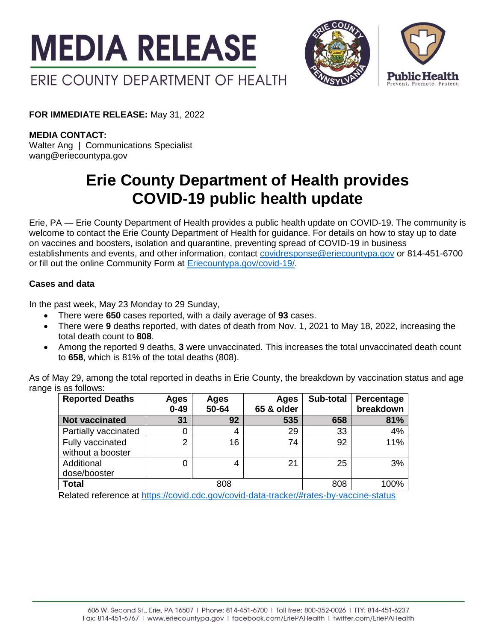



**FOR IMMEDIATE RELEASE:** May 31, 2022

**MEDIA CONTACT:** Walter Ang | Communications Specialist

wang@eriecountypa.gov

# **Erie County Department of Health provides COVID-19 public health update**

Erie, PA — Erie County Department of Health provides a public health update on COVID-19. The community is welcome to contact the Erie County Department of Health for guidance. For details on how to stay up to date on vaccines and boosters, isolation and quarantine, preventing spread of COVID-19 in business establishments and events, and other information, contact [covidresponse@eriecountypa.gov](mailto:covidresponse@eriecountypa.gov) or 814-451-6700 or fill out the online Community Form at [Eriecountypa.gov/covid-19/.](https://eriecountypa.gov/covid-19/)

## **Cases and data**

In the past week, May 23 Monday to 29 Sunday,

- There were **650** cases reported, with a daily average of **93** cases.
- There were **9** deaths reported, with dates of death from Nov. 1, 2021 to May 18, 2022, increasing the total death count to **808**.
- Among the reported 9 deaths, **3** were unvaccinated. This increases the total unvaccinated death count to **658**, which is 81% of the total deaths (808).

As of May 29, among the total reported in deaths in Erie County, the breakdown by vaccination status and age range is as follows:

| Ages<br>$0 - 49$ | Ages<br>50-64 | Ages<br>65 & older | Sub-total | Percentage<br>breakdown |
|------------------|---------------|--------------------|-----------|-------------------------|
| 31               | 92            | 535                | 658       | 81%                     |
|                  | 4             | 29                 | 33        | 4%                      |
| 2                | 16            | 74                 | 92        | 11%                     |
|                  |               |                    |           |                         |
|                  | 4             | 21                 | 25        | 3%                      |
|                  |               |                    |           |                         |
|                  | 808           |                    | 808       | 100%                    |
|                  |               |                    |           |                         |

Related reference at<https://covid.cdc.gov/covid-data-tracker/#rates-by-vaccine-status>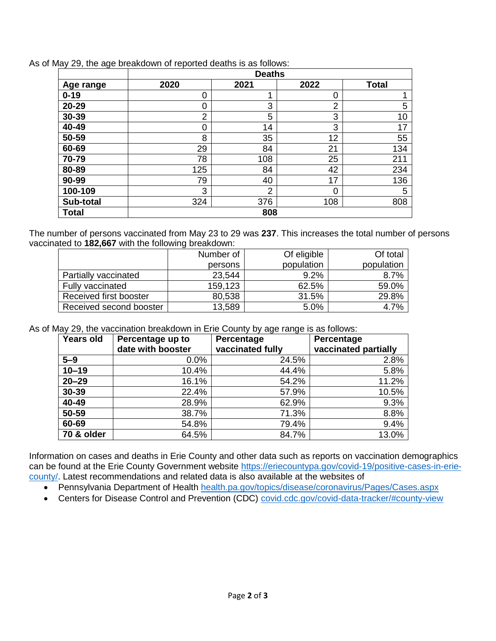| $\overline{\phantom{a}}$ | <b>Deaths</b> |                |      |              |
|--------------------------|---------------|----------------|------|--------------|
| Age range                | 2020          | 2021           | 2022 | <b>Total</b> |
| $0 - 19$                 | 0             |                | 0    |              |
| 20-29                    | 0             | 3              | 2    | 5            |
| 30-39                    | 2             | 5              | 3    | 10           |
| 40-49                    | Ω             | 14             | 3    | 17           |
| 50-59                    | 8             | 35             | 12   | 55           |
| 60-69                    | 29            | 84             | 21   | 134          |
| 70-79                    | 78            | 108            | 25   | 211          |
| 80-89                    | 125           | 84             | 42   | 234          |
| 90-99                    | 79            | 40             | 17   | 136          |
| 100-109                  | 3             | $\overline{2}$ | 0    | 5            |
| Sub-total                | 324           | 376            | 108  | 808          |
| Total                    |               | 808            |      |              |

As of May 29, the age breakdown of reported deaths is as follows:

The number of persons vaccinated from May 23 to 29 was **237**. This increases the total number of persons vaccinated to **182,667** with the following breakdown:

|                         | Number of | Of eligible | Of total   |
|-------------------------|-----------|-------------|------------|
|                         | persons   | population  | population |
| Partially vaccinated    | 23,544    | $9.2\%$     | 8.7%       |
| Fully vaccinated        | 159,123   | 62.5%       | 59.0%      |
| Received first booster  | 80,538    | 31.5%       | 29.8%      |
| Received second booster | 13,589    | 5.0%        | 4.7%       |

As of May 29, the vaccination breakdown in Erie County by age range is as follows:

| Years old  | Percentage up to  | Percentage       | Percentage           |
|------------|-------------------|------------------|----------------------|
|            | date with booster | vaccinated fully | vaccinated partially |
| $5 - 9$    | 0.0%              | 24.5%            | 2.8%                 |
| $10 - 19$  | 10.4%             | 44.4%            | 5.8%                 |
| $20 - 29$  | 16.1%             | 54.2%            | 11.2%                |
| 30-39      | 22.4%             | 57.9%            | 10.5%                |
| 40-49      | 28.9%             | 62.9%            | 9.3%                 |
| 50-59      | 38.7%             | 71.3%            | 8.8%                 |
| 60-69      | 54.8%             | 79.4%            | 9.4%                 |
| 70 & older | 64.5%             | 84.7%            | 13.0%                |

Information on cases and deaths in Erie County and other data such as reports on vaccination demographics can be found at the Erie County Government website [https://eriecountypa.gov/covid-19/positive-cases-in-erie](https://eriecountypa.gov/covid-19/positive-cases-in-erie-county/)[county/.](https://eriecountypa.gov/covid-19/positive-cases-in-erie-county/) Latest recommendations and related data is also available at the websites of

- Pennsylvania Department of Health [health.pa.gov/topics/disease/coronavirus/Pages/Cases.aspx](https://health.pa.gov/topics/disease/coronavirus/Pages/Cases.aspx)
- Centers for Disease Control and Prevention (CDC) [covid.cdc.gov/covid-data-tracker/#county-view](https://covid.cdc.gov/covid-data-tracker/#county-view)